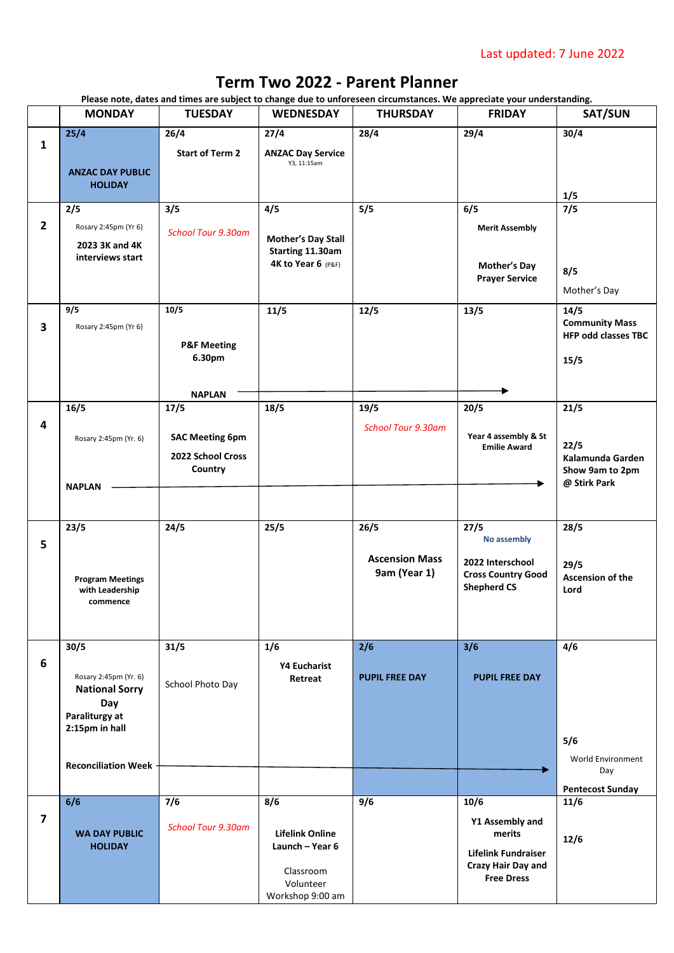## Last updated: 7 June 2022

## **Term Two 2022 - Parent Planner**

**Please note, dates and times are subject to change due to unforeseen circumstances. We appreciate your understanding.** 

|                         | <b>MONDAY</b>                                  | <b>TUESDAY</b>            | <b>WEDNESDAY</b>                       | <b>THURSDAY</b>           | <b>FRIDAY</b>                                 | <b>SAT/SUN</b>                  |
|-------------------------|------------------------------------------------|---------------------------|----------------------------------------|---------------------------|-----------------------------------------------|---------------------------------|
|                         | 25/4                                           | 26/4                      | 27/4                                   | 28/4                      | 29/4                                          | 30/4                            |
| $\mathbf{1}$            |                                                | <b>Start of Term 2</b>    | <b>ANZAC Day Service</b>               |                           |                                               |                                 |
|                         | <b>ANZAC DAY PUBLIC</b>                        |                           | Y3, 11:15am                            |                           |                                               |                                 |
|                         | <b>HOLIDAY</b>                                 |                           |                                        |                           |                                               | 1/5                             |
|                         | 2/5                                            | 3/5                       | 4/5                                    | 5/5                       | 6/5                                           | 7/5                             |
| $\overline{2}$          | Rosary 2:45pm (Yr 6)                           | <b>School Tour 9.30am</b> |                                        |                           | <b>Merit Assembly</b>                         |                                 |
|                         | 2023 3K and 4K                                 |                           | Mother's Day Stall<br>Starting 11.30am |                           |                                               |                                 |
|                         | interviews start                               |                           | 4K to Year 6 (P&F)                     |                           | <b>Mother's Day</b>                           | 8/5                             |
|                         |                                                |                           |                                        |                           | <b>Prayer Service</b>                         | Mother's Day                    |
|                         | 9/5                                            | 10/5                      | 11/5                                   | 12/5                      | 13/5                                          | 14/5                            |
| $\overline{\mathbf{3}}$ | Rosary 2:45pm (Yr 6)                           |                           |                                        |                           |                                               | <b>Community Mass</b>           |
|                         |                                                | <b>P&amp;F Meeting</b>    |                                        |                           |                                               | <b>HFP odd classes TBC</b>      |
|                         |                                                | 6.30pm                    |                                        |                           |                                               | 15/5                            |
|                         |                                                |                           |                                        |                           |                                               |                                 |
|                         |                                                | <b>NAPLAN</b>             |                                        |                           |                                               |                                 |
| $\overline{\mathbf{4}}$ | 16/5                                           | 17/5                      | 18/5                                   | 19/5                      | 20/5                                          | 21/5                            |
|                         | Rosary 2:45pm (Yr. 6)                          | <b>SAC Meeting 6pm</b>    |                                        | <b>School Tour 9.30am</b> | Year 4 assembly & St                          |                                 |
|                         |                                                | 2022 School Cross         |                                        |                           | <b>Emilie Award</b>                           | 22/5<br>Kalamunda Garden        |
|                         |                                                | Country                   |                                        |                           |                                               | Show 9am to 2pm                 |
|                         | <b>NAPLAN</b>                                  |                           |                                        |                           |                                               | @ Stirk Park                    |
|                         |                                                |                           |                                        |                           |                                               |                                 |
|                         | 23/5                                           | 24/5                      | 25/5                                   | 26/5                      | 27/5<br>No assembly                           | 28/5                            |
| 5                       |                                                |                           |                                        | <b>Ascension Mass</b>     |                                               |                                 |
|                         |                                                |                           |                                        | 9am (Year 1)              | 2022 Interschool<br><b>Cross Country Good</b> | 29/5<br>Ascension of the        |
|                         | <b>Program Meetings</b><br>with Leadership     |                           |                                        |                           | <b>Shepherd CS</b>                            | Lord                            |
|                         | commence                                       |                           |                                        |                           |                                               |                                 |
|                         |                                                |                           |                                        |                           |                                               |                                 |
|                         | 30/5                                           | 31/5                      | 1/6                                    | 2/6                       | 3/6                                           | 4/6                             |
| 6                       |                                                |                           | <b>Y4 Eucharist</b>                    |                           |                                               |                                 |
|                         | Rosary 2:45pm (Yr. 6)<br><b>National Sorry</b> | School Photo Day          | Retreat                                | <b>PUPIL FREE DAY</b>     | <b>PUPIL FREE DAY</b>                         |                                 |
|                         | Day                                            |                           |                                        |                           |                                               |                                 |
|                         | Paraliturgy at<br>2:15pm in hall               |                           |                                        |                           |                                               |                                 |
|                         |                                                |                           |                                        |                           |                                               | 5/6                             |
|                         | <b>Reconciliation Week</b>                     |                           |                                        |                           |                                               | World Environment               |
|                         |                                                |                           |                                        |                           |                                               | Day                             |
|                         | 6/6                                            | 7/6                       | 8/6                                    | 9/6                       | 10/6                                          | <b>Pentecost Sunday</b><br>11/6 |
| $\overline{\mathbf{z}}$ |                                                |                           |                                        |                           | Y1 Assembly and                               |                                 |
|                         | <b>WA DAY PUBLIC</b>                           | <b>School Tour 9.30am</b> | <b>Lifelink Online</b>                 |                           | merits                                        | 12/6                            |
|                         | <b>HOLIDAY</b>                                 |                           | Launch - Year 6                        |                           | <b>Lifelink Fundraiser</b>                    |                                 |
|                         |                                                |                           | Classroom                              |                           | Crazy Hair Day and<br><b>Free Dress</b>       |                                 |
|                         |                                                |                           | Volunteer<br>Workshop 9:00 am          |                           |                                               |                                 |